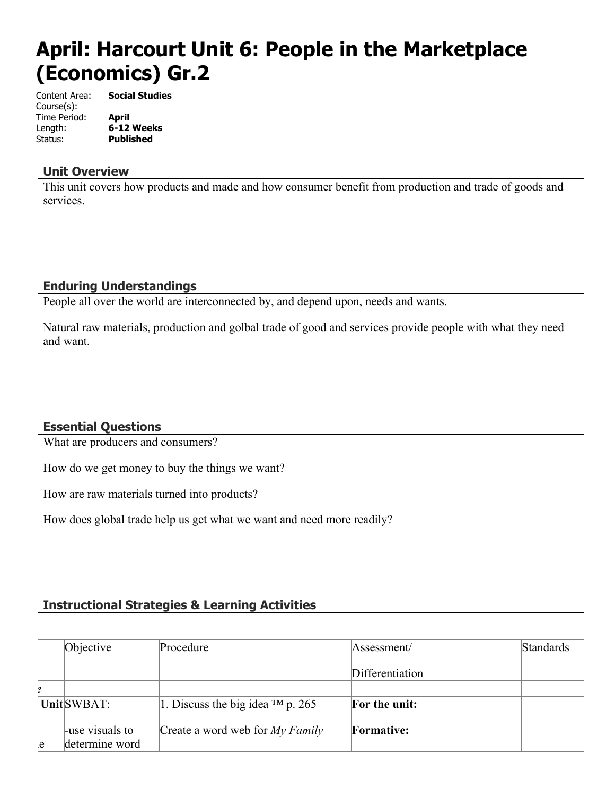# **April: Harcourt Unit 6: People in the Marketplace (Economics) Gr.2**

Content Area: **Social Studies** Course(s): Time Period: **April** Length: **6-12 Weeks** Status: **Published**

#### **Unit Overview**

This unit covers how products and made and how consumer benefit from production and trade of goods and services.

# **Enduring Understandings**

People all over the world are interconnected by, and depend upon, needs and wants.

Natural raw materials, production and golbal trade of good and services provide people with what they need and want.

# **Essential Questions**

What are producers and consumers?

How do we get money to buy the things we want?

How are raw materials turned into products?

How does global trade help us get what we want and need more readily?

# **Instructional Strategies & Learning Activities**

|    | Objective        | Procedure                              | Assessment/          | Standards |
|----|------------------|----------------------------------------|----------------------|-----------|
|    |                  |                                        | Differentiation      |           |
| e  |                  |                                        |                      |           |
|    | UnitSWBAT:       | 1. Discuss the big idea $^{TM}$ p. 265 | <b>For the unit:</b> |           |
|    | -luse visuals to | Create a word web for $My Family$      | <b>Formative:</b>    |           |
| ιe | determine word   |                                        |                      |           |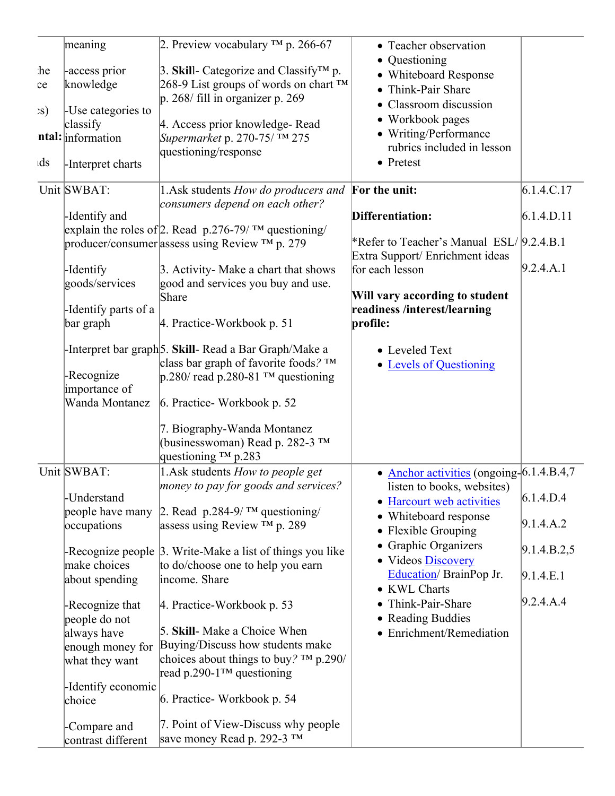|              | meaning                  | 2. Preview vocabulary $^{TM}$ p. 266-67                            | • Teacher observation<br>• Questioning    |             |
|--------------|--------------------------|--------------------------------------------------------------------|-------------------------------------------|-------------|
| he           | -access prior            | 3. Skill- Categorize and Classify <sup>TM</sup> p.                 | • Whiteboard Response                     |             |
| ce           | knowledge                | 268-9 List groups of words on chart ™                              | • Think-Pair Share                        |             |
| $\mathbf{S}$ | -Use categories to       | $ p. 268/$ fill in organizer p. 269                                | • Classroom discussion                    |             |
|              | classify                 | 4. Access prior knowledge-Read                                     | • Workbook pages                          |             |
|              | <b>ntal:</b> information | Supermarket p. 270-75/ ™ 275                                       | • Writing/Performance                     |             |
|              |                          | questioning/response                                               | rubrics included in lesson                |             |
| ıds          | -Interpret charts        |                                                                    | • Pretest                                 |             |
|              | Unit SWBAT:              | 1. Ask students How do producers and                               | For the unit:                             | 6.1.4.C.17  |
|              | -Identify and            | consumers depend on each other?                                    | Differentiation:                          | 6.1.4.D.11  |
|              |                          | explain the roles of 2. Read $p.276-79$ / TM questioning/          |                                           |             |
|              |                          | producer/consumer assess using Review TM p. 279                    | *Refer to Teacher's Manual ESL/ 9.2.4.B.1 |             |
|              |                          |                                                                    | Extra Support/Enrichment ideas            |             |
|              | -Identify                | 3. Activity- Make a chart that shows                               | for each lesson                           | 9.2.4.A.1   |
|              | goods/services           | good and services you buy and use.                                 |                                           |             |
|              |                          | Share                                                              | Will vary according to student            |             |
|              | -Identify parts of a     |                                                                    | readiness /interest/learning              |             |
|              | bar graph                | 4. Practice-Workbook p. 51                                         | profile:                                  |             |
|              |                          | -Interpret bar graph <sup>[5</sup> . Skill-Read a Bar Graph/Make a | • Leveled Text                            |             |
|              |                          | class bar graph of favorite foods? $TM$                            | • Levels of Questioning                   |             |
|              | -Recognize               | $p.280$ read p.280-81 TM questioning                               |                                           |             |
|              | importance of            |                                                                    |                                           |             |
|              | Wanda Montanez           | 6. Practice-Workbook p. 52                                         |                                           |             |
|              |                          | 7. Biography-Wanda Montanez                                        |                                           |             |
|              |                          | (businesswoman) Read p. 282-3 ™                                    |                                           |             |
|              |                          | questioning ™ p.283                                                |                                           |             |
|              | Unit SWBAT:              | 1. Ask students How to people get                                  | • Anchor activities (ongoing-6.1.4.B.4,7) |             |
|              |                          | money to pay for goods and services?                               | listen to books, websites)                |             |
|              | -Understand              |                                                                    | • Harcourt web activities                 | 6.1.4.D.4   |
|              | people have many         | 2. Read $p.284-9$ / TM questioning/                                | • Whiteboard response                     |             |
|              | occupations              | assess using Review $^{TM}$ p. 289                                 | • Flexible Grouping                       | 9.1.4.A.2   |
|              |                          | -Recognize people 3. Write-Make a list of things you like          | • Graphic Organizers                      | 9.1.4.B.2,5 |
|              |                          |                                                                    |                                           |             |
|              |                          |                                                                    | • Videos Discovery                        |             |
|              | make choices             | to do/choose one to help you earn                                  | Education/BrainPop Jr.                    | 9.1.4.E.1   |
|              | about spending           | income. Share                                                      | • KWL Charts                              |             |
|              | -Recognize that          | 4. Practice-Workbook p. 53                                         | • Think-Pair-Share                        | 9.2.4.A.4   |
|              | people do not            |                                                                    | • Reading Buddies                         |             |
|              | always have              | 5. Skill-Make a Choice When                                        | • Enrichment/Remediation                  |             |
|              | enough money for         | Buying/Discuss how students make                                   |                                           |             |
|              | what they want           | choices about things to buy? $TM$ p.290/                           |                                           |             |
|              |                          | read p.290-1 <sup>TM</sup> questioning                             |                                           |             |
|              | -Identify economic       |                                                                    |                                           |             |
|              | choice                   | 6. Practice-Workbook p. 54                                         |                                           |             |
|              | -Compare and             | 7. Point of View-Discuss why people<br>Save money Read p. 292-3 TM |                                           |             |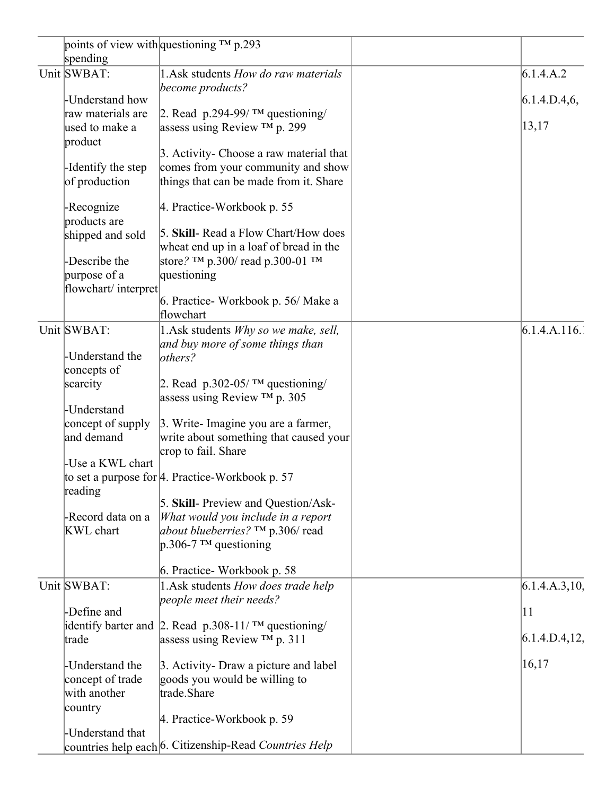|  |                     | points of view with questioning ™ p.293                  |                |
|--|---------------------|----------------------------------------------------------|----------------|
|  | spending            |                                                          |                |
|  | Unit SWBAT:         | 1. Ask students How do raw materials                     | 6.1.4.A.2      |
|  |                     | become products?                                         |                |
|  | -Understand how     |                                                          | 6.1.4.D.4,6,   |
|  | raw materials are   | 2. Read $p.294-99$ / TM questioning/                     |                |
|  | used to make a      | assess using Review $^{TM}$ p. 299                       | 13,17          |
|  | product             |                                                          |                |
|  |                     | 3. Activity- Choose a raw material that                  |                |
|  | -Identify the step  | comes from your community and show                       |                |
|  | of production       | things that can be made from it. Share                   |                |
|  |                     |                                                          |                |
|  | -Recognize          | 4. Practice-Workbook p. 55                               |                |
|  | products are        |                                                          |                |
|  | shipped and sold    | 5. Skill- Read a Flow Chart/How does                     |                |
|  |                     | wheat end up in a loaf of bread in the                   |                |
|  | -Describe the       | store? TM p.300/ read p.300-01 TM                        |                |
|  | purpose of a        | questioning                                              |                |
|  | flowchart/interpret |                                                          |                |
|  |                     | 6. Practice- Workbook p. 56/ Make a                      |                |
|  |                     | flowchart                                                |                |
|  | Unit SWBAT:         |                                                          | 6.1.4.A.116.   |
|  |                     | 1.Ask students Why so we make, sell,                     |                |
|  |                     | and buy more of some things than                         |                |
|  | -Understand the     | others?                                                  |                |
|  | concepts of         |                                                          |                |
|  | scarcity            | 2. Read p.302-05/ $\text{TM}$ questioning/               |                |
|  |                     | assess using Review $TM$ p. 305                          |                |
|  | -Understand         |                                                          |                |
|  | concept of supply   | 3. Write-Imagine you are a farmer,                       |                |
|  | and demand          | write about something that caused your                   |                |
|  |                     | crop to fail. Share                                      |                |
|  | -Use a KWL chart    |                                                          |                |
|  |                     | to set a purpose for 4. Practice-Workbook p. 57          |                |
|  | reading             |                                                          |                |
|  |                     | 5. Skill- Preview and Question/Ask-                      |                |
|  | -Record data on a   | What would you include in a report                       |                |
|  | KWL chart           | about blueberries? $TM$ p.306/ read                      |                |
|  |                     | $p.306-7$ TM questioning                                 |                |
|  |                     |                                                          |                |
|  |                     | 6. Practice-Workbook p. 58                               |                |
|  | Unit SWBAT:         | 1.Ask students How does trade help                       | 6.1.4.A.3, 10, |
|  |                     | people meet their needs?                                 |                |
|  | -Define and         |                                                          | 11             |
|  |                     |                                                          |                |
|  |                     | identify barter and 2. Read $p.308-11$ / TM questioning/ | 6.1.4.D.4.12,  |
|  | trade               | assess using Review $TM$ p. 311                          |                |
|  |                     |                                                          | 16,17          |
|  | -Understand the     | 3. Activity- Draw a picture and label                    |                |
|  | concept of trade    | goods you would be willing to                            |                |
|  | with another        | trade.Share                                              |                |
|  | country             |                                                          |                |
|  |                     | 4. Practice-Workbook p. 59                               |                |
|  | -Understand that    |                                                          |                |
|  |                     |                                                          |                |
|  |                     | countries help each 6. Citizenship-Read Countries Help   |                |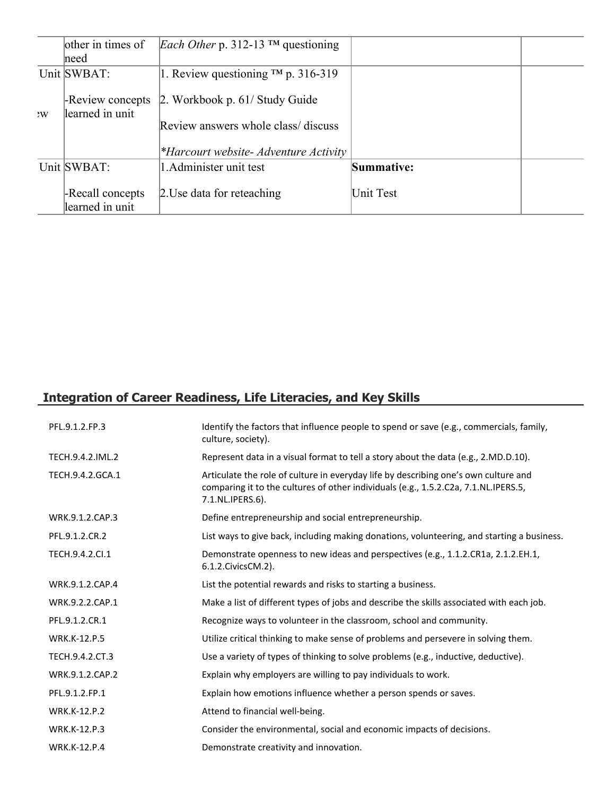|   | other in times of                   | <i>Each Other p.</i> 312-13 <sup>TM</sup> questioning                        |            |  |
|---|-------------------------------------|------------------------------------------------------------------------------|------------|--|
|   | meed                                |                                                                              |            |  |
|   | Unit SWBAT:                         | 1. Review questioning $TM$ p. 316-319                                        |            |  |
| W | -Review concepts<br>learned in unit | $\vert$ 2. Workbook p. 61/ Study Guide<br>Review answers whole class/discuss |            |  |
|   |                                     | *Harcourt website- Adventure Activity                                        |            |  |
|   | Unit SWBAT:                         | 1. Administer unit test                                                      | Summative: |  |
|   | -Recall concepts<br>learned in unit | 2. Use data for reteaching                                                   | Unit Test  |  |

# **Integration of Career Readiness, Life Literacies, and Key Skills**

| PFL.9.1.2.FP.3      | Identify the factors that influence people to spend or save (e.g., commercials, family,<br>culture, society).                                                                                  |
|---------------------|------------------------------------------------------------------------------------------------------------------------------------------------------------------------------------------------|
| TECH.9.4.2.IML.2    | Represent data in a visual format to tell a story about the data (e.g., 2.MD.D.10).                                                                                                            |
| TECH.9.4.2.GCA.1    | Articulate the role of culture in everyday life by describing one's own culture and<br>comparing it to the cultures of other individuals (e.g., 1.5.2.C2a, 7.1.NL.IPERS.5,<br>7.1.NL.IPERS.6). |
| WRK.9.1.2.CAP.3     | Define entrepreneurship and social entrepreneurship.                                                                                                                                           |
| PFL.9.1.2.CR.2      | List ways to give back, including making donations, volunteering, and starting a business.                                                                                                     |
| TECH.9.4.2.CI.1     | Demonstrate openness to new ideas and perspectives (e.g., 1.1.2.CR1a, 2.1.2.EH.1,<br>6.1.2. Civics CM. 2).                                                                                     |
| WRK.9.1.2.CAP.4     | List the potential rewards and risks to starting a business.                                                                                                                                   |
| WRK.9.2.2.CAP.1     | Make a list of different types of jobs and describe the skills associated with each job.                                                                                                       |
| PFL.9.1.2.CR.1      | Recognize ways to volunteer in the classroom, school and community.                                                                                                                            |
| <b>WRK.K-12.P.5</b> | Utilize critical thinking to make sense of problems and persevere in solving them.                                                                                                             |
| TECH.9.4.2.CT.3     | Use a variety of types of thinking to solve problems (e.g., inductive, deductive).                                                                                                             |
| WRK.9.1.2.CAP.2     | Explain why employers are willing to pay individuals to work.                                                                                                                                  |
| PFL.9.1.2.FP.1      | Explain how emotions influence whether a person spends or saves.                                                                                                                               |
| <b>WRK.K-12.P.2</b> | Attend to financial well-being.                                                                                                                                                                |
| <b>WRK.K-12.P.3</b> | Consider the environmental, social and economic impacts of decisions.                                                                                                                          |
| <b>WRK.K-12.P.4</b> | Demonstrate creativity and innovation.                                                                                                                                                         |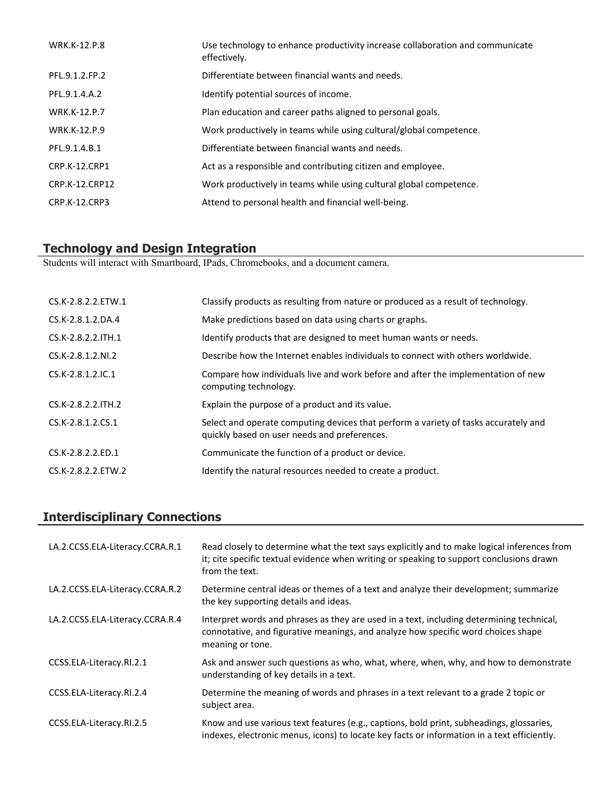| <b>WRK.K-12.P.8</b> | Use technology to enhance productivity increase collaboration and communicate<br>effectively. |
|---------------------|-----------------------------------------------------------------------------------------------|
| PFL.9.1.2.FP.2      | Differentiate between financial wants and needs.                                              |
| PFL.9.1.4.A.2       | Identify potential sources of income.                                                         |
| <b>WRK.K-12.P.7</b> | Plan education and career paths aligned to personal goals.                                    |
| <b>WRK.K-12.P.9</b> | Work productively in teams while using cultural/global competence.                            |
| PFL.9.1.4.B.1       | Differentiate between financial wants and needs.                                              |
| CRP.K-12.CRP1       | Act as a responsible and contributing citizen and employee.                                   |
| CRP.K-12.CRP12      | Work productively in teams while using cultural global competence.                            |
| CRP.K-12.CRP3       | Attend to personal health and financial well-being.                                           |

#### **Technology and Design Integration**

Students will interact with Smartboard, IPads, Chromebooks, and a document camera.

| CS.K-2.8.2.2.ETW.1  | Classify products as resulting from nature or produced as a result of technology.                                                   |
|---------------------|-------------------------------------------------------------------------------------------------------------------------------------|
| CS.K-2.8.1.2.DA.4   | Make predictions based on data using charts or graphs.                                                                              |
| CS.K-2.8.2.2. ITH.1 | Identify products that are designed to meet human wants or needs.                                                                   |
| CS.K-2.8.1.2.NI.2   | Describe how the Internet enables individuals to connect with others worldwide.                                                     |
| $CS.K-2.8.1.2.1C.1$ | Compare how individuals live and work before and after the implementation of new<br>computing technology.                           |
| CS.K-2.8.2.2.ITH.2  | Explain the purpose of a product and its value.                                                                                     |
| CS.K-2.8.1.2.CS.1   | Select and operate computing devices that perform a variety of tasks accurately and<br>quickly based on user needs and preferences. |
| CS.K-2.8.2.2.ED.1   | Communicate the function of a product or device.                                                                                    |
| CS.K-2.8.2.2.ETW.2  | Identify the natural resources needed to create a product.                                                                          |

# **Interdisciplinary Connections**

| LA.2.CCSS.ELA-Literacy.CCRA.R.1 | Read closely to determine what the text says explicitly and to make logical inferences from<br>it; cite specific textual evidence when writing or speaking to support conclusions drawn<br>from the text. |
|---------------------------------|-----------------------------------------------------------------------------------------------------------------------------------------------------------------------------------------------------------|
| LA.2.CCSS.ELA-Literacy.CCRA.R.2 | Determine central ideas or themes of a text and analyze their development; summarize<br>the key supporting details and ideas.                                                                             |
| LA.2.CCSS.ELA-Literacy.CCRA.R.4 | Interpret words and phrases as they are used in a text, including determining technical,<br>connotative, and figurative meanings, and analyze how specific word choices shape<br>meaning or tone.         |
| CCSS.ELA-Literacy.RI.2.1        | Ask and answer such questions as who, what, where, when, why, and how to demonstrate<br>understanding of key details in a text.                                                                           |
| CCSS.ELA-Literacy.RI.2.4        | Determine the meaning of words and phrases in a text relevant to a grade 2 topic or<br>subject area.                                                                                                      |
| CCSS.ELA-Literacy.RI.2.5        | Know and use various text features (e.g., captions, bold print, subheadings, glossaries,<br>indexes, electronic menus, icons) to locate key facts or information in a text efficiently.                   |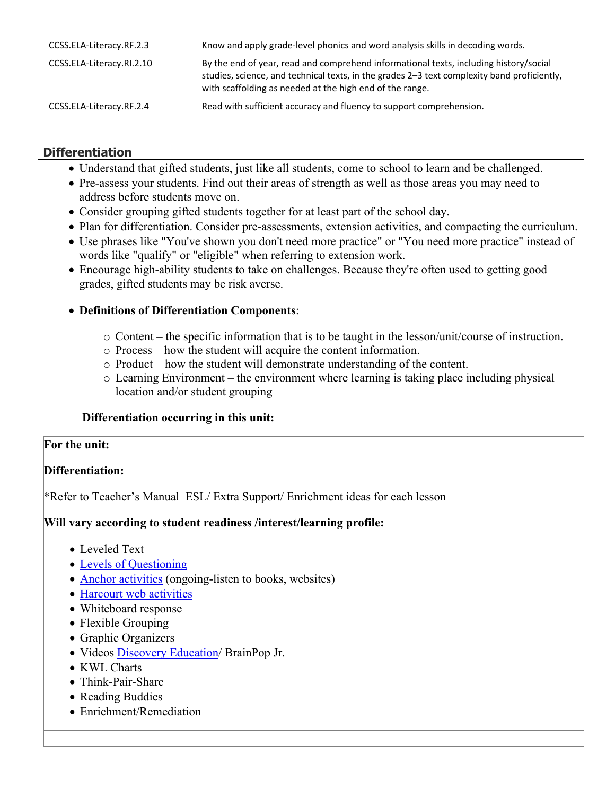| CCSS.ELA-Literacy.RF.2.3  | Know and apply grade-level phonics and word analysis skills in decoding words.                                                                                                                                                                   |
|---------------------------|--------------------------------------------------------------------------------------------------------------------------------------------------------------------------------------------------------------------------------------------------|
| CCSS.ELA-Literacy.RI.2.10 | By the end of year, read and comprehend informational texts, including history/social<br>studies, science, and technical texts, in the grades 2-3 text complexity band proficiently,<br>with scaffolding as needed at the high end of the range. |
| CCSS.ELA-Literacy.RF.2.4  | Read with sufficient accuracy and fluency to support comprehension.                                                                                                                                                                              |

# **Differentiation**

- Understand that gifted students, just like all students, come to school to learn and be challenged.
- Pre-assess your students. Find out their areas of strength as well as those areas you may need to address before students move on.
- Consider grouping gifted students together for at least part of the school day.
- Plan for differentiation. Consider pre-assessments, extension activities, and compacting the curriculum.
- Use phrases like "You've shown you don't need more practice" or "You need more practice" instead of words like "qualify" or "eligible" when referring to extension work.
- Encourage high-ability students to take on challenges. Because they're often used to getting good grades, gifted students may be risk averse.

#### **Definitions of Differentiation Components**:

- o Content the specific information that is to be taught in the lesson/unit/course of instruction.
- o Process how the student will acquire the content information.
- o Product how the student will demonstrate understanding of the content.
- o Learning Environment the environment where learning is taking place including physical location and/or student grouping

#### **Differentiation occurring in this unit:**

#### **For the unit:**

# **Differentiation:**

\*Refer to Teacher's Manual ESL/ Extra Support/ Enrichment ideas for each lesson

# **Will vary according to student readiness /interest/learning profile:**

- Leveled Text
- [Levels of Questioning](http://www.bloomstaxonomy.org/Blooms%20Taxonomy%20questions.pdf)
- [Anchor activities](http://www.rec4.com/filestore/REC4_AnchorActivityPacket_080513.pdf) (ongoing-listen to books, websites)
- [Harcourt web activities](http://www.harcourtschool.com/ss1/)
- Whiteboard response
- Flexible Grouping
- Graphic Organizers
- Videos [Discovery Education/](http://www.discoveryeducation.com/) BrainPop Jr.
- KWL Charts
- Think-Pair-Share
- Reading Buddies
- Enrichment/Remediation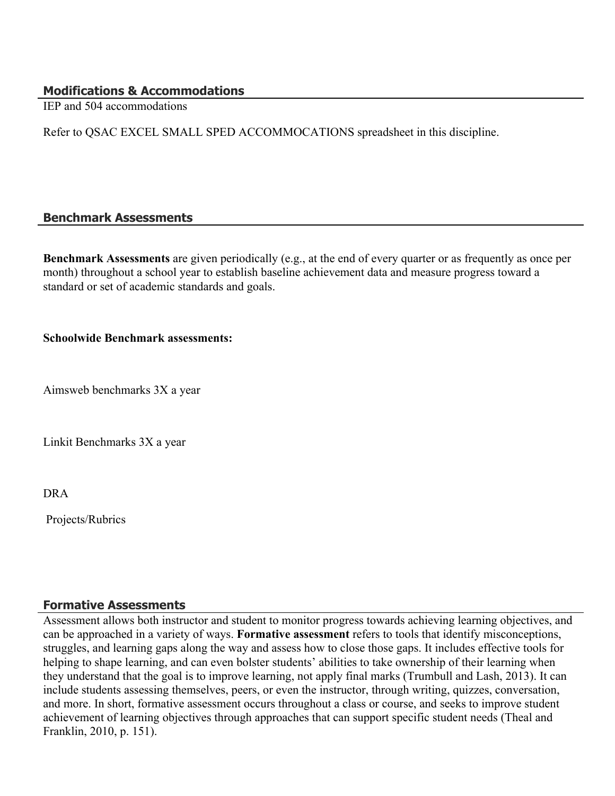#### **Modifications & Accommodations**

IEP and 504 accommodations

Refer to QSAC EXCEL SMALL SPED ACCOMMOCATIONS spreadsheet in this discipline.

#### **Benchmark Assessments**

**Benchmark Assessments** are given periodically (e.g., at the end of every quarter or as frequently as once per month) throughout a school year to establish baseline achievement data and measure progress toward a standard or set of academic standards and goals.

#### **Schoolwide Benchmark assessments:**

Aimsweb benchmarks 3X a year

Linkit Benchmarks 3X a year

DRA

Projects/Rubrics

#### **Formative Assessments**

Assessment allows both instructor and student to monitor progress towards achieving learning objectives, and can be approached in a variety of ways. **Formative assessment** refers to tools that identify misconceptions, struggles, and learning gaps along the way and assess how to close those gaps. It includes effective tools for helping to shape learning, and can even bolster students' abilities to take ownership of their learning when they understand that the goal is to improve learning, not apply final marks (Trumbull and Lash, 2013). It can include students assessing themselves, peers, or even the instructor, through writing, quizzes, conversation, and more. In short, formative assessment occurs throughout a class or course, and seeks to improve student achievement of learning objectives through approaches that can support specific student needs (Theal and Franklin, 2010, p. 151).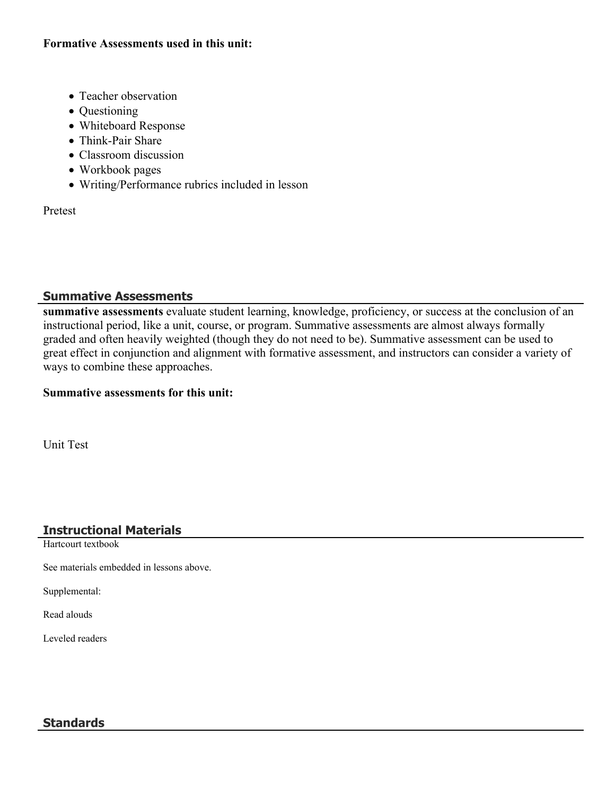#### **Formative Assessments used in this unit:**

- Teacher observation
- Questioning
- Whiteboard Response
- Think-Pair Share
- Classroom discussion
- Workbook pages
- Writing/Performance rubrics included in lesson

Pretest

# **Summative Assessments**

**summative assessments** evaluate student learning, knowledge, proficiency, or success at the conclusion of an instructional period, like a unit, course, or program. Summative assessments are almost always formally graded and often heavily weighted (though they do not need to be). Summative assessment can be used to great effect in conjunction and alignment with formative assessment, and instructors can consider a variety of ways to combine these approaches.

#### **Summative assessments for this unit:**

Unit Test

# **Instructional Materials**

Hartcourt textbook

See materials embedded in lessons above.

Supplemental:

Read alouds

Leveled readers

# **Standards**